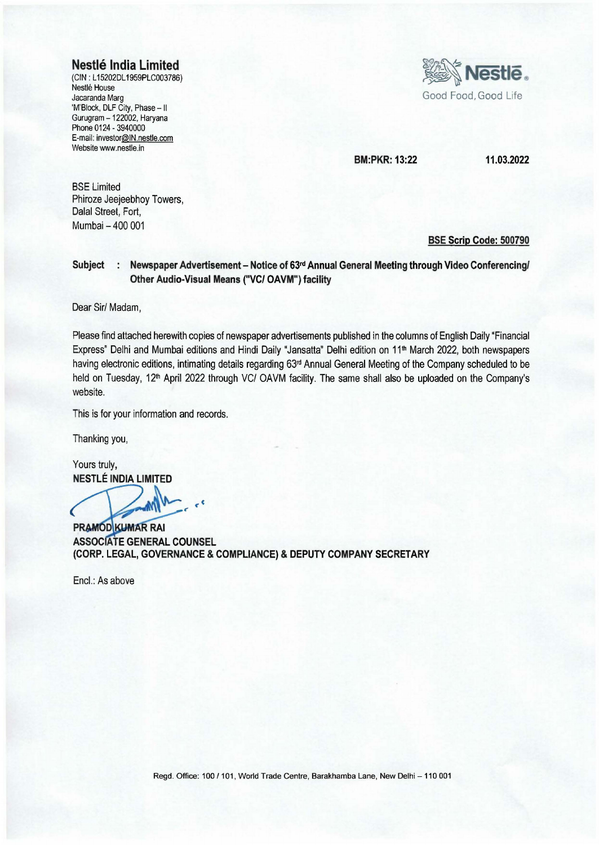## **Nestle India Limited**

(CIN : L 15202DL 1959PLC003786) Nestle House Jacaranda Marg 'M'Block, DLF City, Phase - II Gurugram - 122002, Haryana Phone 0124 - 3940000 E-mail: investor@IN.nestle.com Website www.nestle.in



**BM:PKR: 13:22 11.03.2022** 

BSE Limited Phiroze Jeejeebhoy Towers, Dalal Street, Fort, Mumbai - 400 001

#### **BSE Scrip Code: 500790**

### **Subject : Newspaper Advertisement - Notice of 63<sup>rd</sup> Annual General Meeting through Video Conferencing/ Other Audio-Visual Means ("VC/ OAVM") facility**

Dear Sir/ Madam,

Please find attached herewith copies of newspaper advertisements published in the columns of English Daily "Financial Express" Delhi and Mumbai editions and Hindi Daily "Jansatta" Delhi edition on 11<sup>th</sup> March 2022, both newspapers having electronic editions, intimating details regarding 63<sup>rd</sup> Annual General Meeting of the Company scheduled to be held on Tuesday, 12<sup>th</sup> April 2022 through VC/ OAVM facility. The same shall also be uploaded on the Company's website.

This is for your information and records.

Thanking you,

Yours truly, **NESTLE INDIA LIMITED** 

 $\epsilon$ 

 $PRAMOD$  **KUMAR RAI ASSOC ATE GENERAL COUNSEL (CORP. LEGAL, GOVERNANCE & COMPLIANCE) & DEPUTY COMPANY SECRETARY** 

Encl.: As above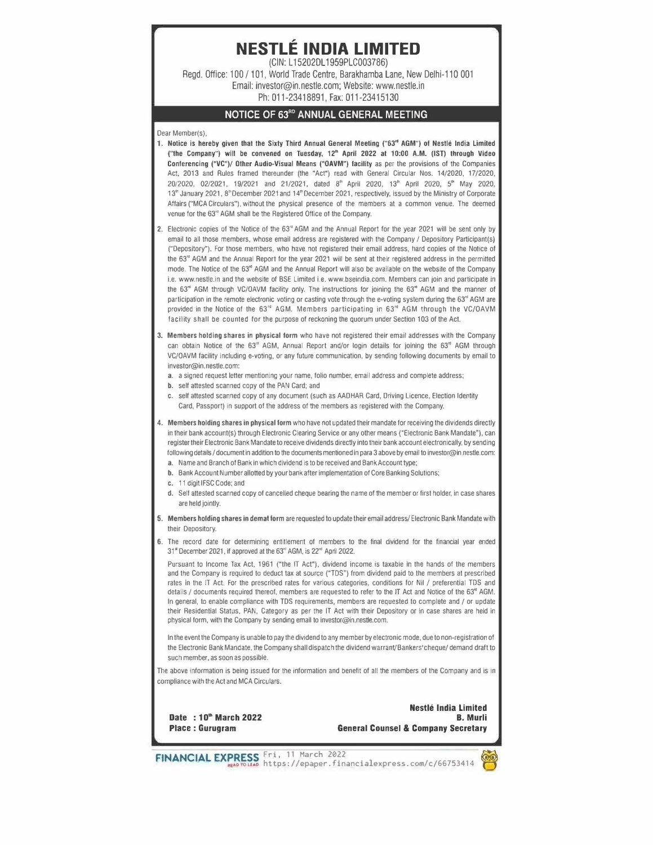# **NESTLE INDIA LIMITED**

(CIN: L15202OL1959PLC003786) Regd. Office: 100 / 101, World Trade Centre, Barakhamba Lane, New Delhi-110 001 Email: investor@in.nestle.com; Website: www.nestle.in Ph: 011-23418891, Fax: 011-23415130

#### **NOTICE OF 63R0 ANNUAL GENERAL MEETING**

Oear Member(s),

- 1. Notice is hereby given that the Sixty Third Annual General Meeting ("63" AGM") of Nestle India Limited ("the Company") **will** be convened on Tuesday, 12'" April 2022 at 1 O:OO A.M. (1ST} through Video Conferencing ("VC")/ Other Audio-Visual Means ("OAVM") facility as per the provisions of the Companies Act, 2013 and Rules framed thereunder (the "Act") read with General Circular Nos. 14/2020, 17/2020, 20/2020, 02/2021, 19/2021 and 21/2021, dated 8" April 2020, 13• April 2020, 5• May 2020, 13<sup>th</sup> January 2021, 8<sup>th</sup> December 2021 and 14<sup>th</sup> December 2021, respectively, issued by the Ministry of Corporate Affairs ("MCA Circulars"), without the physical presence of the members at a common venue. The deemed venue for the 63<sup>°</sup> AGM shall be the Registered Office of the Company.
- 2. Electronic copies of the Notice of the 53• AGM and the Annual Report for the year 2021 will be sent only by email to all those members, whose email address are registered with the Company / Depository Participant(s) ("Depository"). For those members, who have not registered their email address, hard copies of the Notice of the 63" AGM and the Annual Report for the year 2021 will be sent at their registered address in the permitted mode. The Notice of the 63<sup>rd</sup> AGM and the Annual Report will also be available on the website of the Company i.e. www.neslle.in and the website of BSE Limited i.e. www.bseindia.com. Members can join and participate in the 63<sup>rd</sup> AGM through VC/OAVM facility only. The instructions for joining the 63<sup>rd</sup> AGM and the manner of participation in the remote electronic voting or casting vote through the e-voting system during the 63<sup><sup>d</sup></sup> AGM are provided in the Notice of the 63" AGM. Members participating in 63" AGM through the VC/OAVM facility shall be counted for the purpose of reckoning the quorum under Section 103 of the Act.
- 3. Members holding shares in physical form who have not registered their email addresses with the Company can obtain Notice of the  $63^{\circ}$  AGM, Annual Report and/or login details for joining the  $63^{\circ}$  AGM through VC/OAVM facility including e-voting, or any future communication, by sending following documents by email to investor@in.nestle.com:
	- a. a signed request letter mentioning your name, folio number, email address and complete address;
	- b. self attested scanned copy of the PAN Card; and
	- c. self attested scanned copy of any document (such as AADHAR Card, Driving Licence, Election Identity Card, Passport) in support of the address of the members as registered with the Company.
- 4. Members holding shares in physical form who have not updated their mandate for receiving the dividends directly in their bank account(s) through Electronic Clearing Service or any other means ("Electronic Bank Mandate"), can register their Electronic Bank Mandate to receive dividends directly into their bank account electronically, by sending following details / document in addition to the documents mentioned in para 3 above by email to investor@in.nestle.com:
	- a. Name and Branch of Bank in which dividend is to be received and Bank Account type;
	- b. Bank Account Number allotted by your bank after implementation of Core Banking Solutions;
	- C. 11 digitlFSC Code; and
	- d. Self attested scanned copy of cancelled cheque bearing the name of the member or first holder, in case shares are held jointly.
- 5. Members holding shares in demat form are requested to update their email address/ Electronic Bank Mandate with their Depository
- 6. The record date for determining entitlement of members to the final dividend for the financial year ended 31" December 2021, if approved at the 63" AGM, is 22'" April 2022.

Pursuant to Income Tax Act, 1961 ("the IT Act"), dividend income is taxable in the hands of the members and the Company is required to deduct tax at source ("TDS") from dividend paid to the members at prescribed rates in the IT Act. For the prescribed rates for various categories, conditions for Nil / preferential TDS and details / documents required thereof, members are requested to refer to the IT Act and Notice of the 53• AGM. In general, to enable compliance with TDS requirements, members are requested to complete and/ or update their Residential Status, PAN, Category as per the IT Act with their Depository or in case shares are held in physical form, with the Company by sending email to investor@in.nestle.com.

In the event the Company is unable to pay the dividend to any member by electronic mode, due to non-registration of the Electronic Bank Mandate, the Company shall dispatch the dividend warranV Bankers' cheque/ demand draft to such member, as soon as possible.

The above information is being issued for the information and benefit of all the members of the Company and is in compliance with the Act and MCA Circulars.

**Date : 1 D'" March 2022 Place : Gurugram** 



FINANCIAL EXPRESS Fri, 11 March 2022<br>https://epaper.financialexpress.com/c/66753414